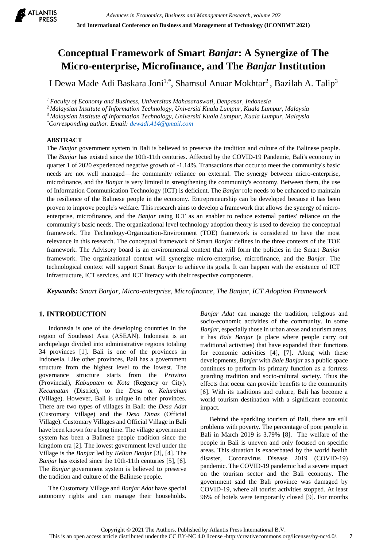

# **Conceptual Framework of Smart** *Banjar***: A Synergize of The Micro-enterprise, Microfinance, and The** *Banjar* **Institution**

I Dewa Made Adi Baskara Joni<sup>1,\*</sup>, Shamsul Anuar Mokhtar<sup>2</sup>, Bazilah A. Talip<sup>3</sup>

*<sup>1</sup>Faculty of Economy and Business, Universitas Mahasaraswati, Denpasar, Indonesia* 

*<sup>2</sup> Malaysian Institute of Information Technology, Universiti Kuala Lumpur, Kuala Lumpur, Malaysia*

*<sup>3</sup>Malaysian Institute of Information Technology, Universiti Kuala Lumpur, Kuala Lumpur, Malaysia*

*\*Corresponding author. Email[: dewadi.414@gmail.com](mailto:dewadi.414@gmail.com)*

### **ABSTRACT**

The *Banjar* government system in Bali is believed to preserve the tradition and culture of the Balinese people. The *Banjar* has existed since the 10th-11th centuries. Affected by the COVID-19 Pandemic, Bali's economy in quarter 1 of 2020 experienced negative growth of -1.14%. Transactions that occur to meet the community's basic needs are not well managed—the community reliance on external. The synergy between micro-enterprise, microfinance, and the *Banjar* is very limited in strengthening the community's economy. Between them, the use of Information Communication Technology (ICT) is deficient. The *Banjar* role needs to be enhanced to maintain the resilience of the Balinese people in the economy. Entrepreneurship can be developed because it has been proven to improve people's welfare. This research aims to develop a framework that allows the synergy of microenterprise, microfinance, and the *Banjar* using ICT as an enabler to reduce external parties' reliance on the community's basic needs. The organizational level technology adoption theory is used to develop the conceptual framework. The Technology-Organization-Environment (TOE) framework is considered to have the most relevance in this research. The conceptual framework of Smart *Banjar* defines in the three contexts of the TOE framework. The Advisory board is an environmental context that will form the policies in the Smart *Banjar* framework. The organizational context will synergize micro-enterprise, microfinance, and the *Banjar*. The technological context will support Smart *Banjar* to achieve its goals. It can happen with the existence of ICT infrastructure, ICT services, and ICT literacy with their respective components.

*Keywords: Smart Banjar, Micro-enterprise, Microfinance, The Banjar, ICT Adoption Framework*

# **1. INTRODUCTION**

Indonesia is one of the developing countries in the region of Southeast Asia (ASEAN). Indonesia is an archipelago divided into administrative regions totaling 34 provinces [1]. Bali is one of the provinces in Indonesia. Like other provinces, Bali has a government structure from the highest level to the lowest. The governance structure starts from the *Provinsi* (Provincial), *Kabupaten* or *Kota* (Regency or City), *Kecamatan* (District), to the *Desa* or *Kelurahan* (Village). However, Bali is unique in other provinces. There are two types of villages in Bali: the *Desa Adat* (Customary Village) and the *Desa Dinas* (Official Village). Customary Villages and Official Village in Bali have been known for a long time. The village government system has been a Balinese people tradition since the kingdom era [2]. The lowest government level under the Village is the *Banjar* led by *Kelian Banjar* [3], [4]. The *Banjar* has existed since the 10th-11th centuries [5], [6]. The *Banjar* government system is believed to preserve the tradition and culture of the Balinese people.

The Customary Village and *Banjar Adat* have special autonomy rights and can manage their households. *Banjar Adat* can manage the tradition, religious and socio-economic activities of the community. In some *Banjar*, especially those in urban areas and tourism areas, it has *Bale Banjar* (a place where people carry out traditional activities) that have expanded their functions for economic activities [4], [7]. Along with these developments, *Banjar* with *Bale Banjar* as a public space continues to perform its primary function as a fortress guarding tradition and socio-cultural society. Thus the effects that occur can provide benefits to the community [6]. With its traditions and culture, Bali has become a world tourism destination with a significant economic impact.

Behind the sparkling tourism of Bali, there are still problems with poverty. The percentage of poor people in Bali in March 2019 is 3.79% [8]. The welfare of the people in Bali is uneven and only focused on specific areas. This situation is exacerbated by the world health disaster, Coronavirus Disease 2019 (COVID-19) pandemic. The COVID-19 pandemic had a severe impact on the tourism sector and the Bali economy. The government said the Bali province was damaged by COVID-19, where all tourist activities stopped. At least 96% of hotels were temporarily closed [9]. For months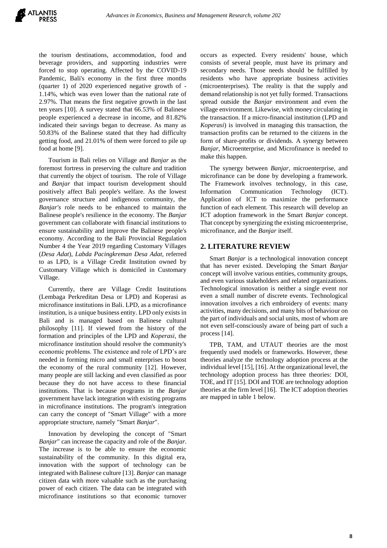the tourism destinations, accommodation, food and beverage providers, and supporting industries were forced to stop operating. Affected by the COVID-19 Pandemic, Bali's economy in the first three months (quarter 1) of 2020 experienced negative growth of - 1.14%, which was even lower than the national rate of 2.97%. That means the first negative growth in the last ten years [10]. A survey stated that 66.53% of Balinese people experienced a decrease in income, and 81.82% indicated their savings began to decrease. As many as 50.83% of the Balinese stated that they had difficulty getting food, and 21.01% of them were forced to pile up food at home [9].

Tourism in Bali relies on Village and *Banjar* as the foremost fortress in preserving the culture and tradition that currently the object of tourism. The role of Village and *Banjar* that impact tourism development should positively affect Bali people's welfare. As the lowest governance structure and indigenous community, the *Banjar's* role needs to be enhanced to maintain the Balinese people's resilience in the economy. The *Banjar* government can collaborate with financial institutions to ensure sustainability and improve the Balinese people's economy. According to the Bali Provincial Regulation Number 4 the Year 2019 regarding Customary Villages (*Desa Adat*), *Labda Pacingkreman Desa Adat*, referred to as LPD, is a Village Credit Institution owned by Customary Village which is domiciled in Customary Village.

Currently, there are Village Credit Institutions (Lembaga Perkreditan Desa or LPD) and Koperasi as microfinance institutions in Bali. LPD, as a microfinance institution, is a unique business entity. LPD only exists in Bali and is managed based on Balinese cultural philosophy [11]. If viewed from the history of the formation and principles of the LPD and *Koperasi*, the microfinance institution should resolve the community's economic problems. The existence and role of LPD's are needed in forming micro and small enterprises to boost the economy of the rural community [12]. However, many people are still lacking and even classified as poor because they do not have access to these financial institutions. That is because programs in the *Banjar* government have lack integration with existing programs in microfinance institutions. The program's integration can carry the concept of "Smart Village" with a more appropriate structure, namely "Smart *Banjar*".

Innovation by developing the concept of "Smart *Banjar*" can increase the capacity and role of the *Banjar*. The increase is to be able to ensure the economic sustainability of the community. In this digital era, innovation with the support of technology can be integrated with Balinese culture [13]. *Banjar* can manage citizen data with more valuable such as the purchasing power of each citizen. The data can be integrated with microfinance institutions so that economic turnover

occurs as expected. Every residents' house, which consists of several people, must have its primary and secondary needs. Those needs should be fulfilled by residents who have appropriate business activities (microenterprises). The reality is that the supply and demand relationship is not yet fully formed. Transactions spread outside the *Banjar* environment and even the village environment. Likewise, with money circulating in the transaction. If a micro-financial institution (LPD and *Koperasi*) is involved in managing this transaction, the transaction profits can be returned to the citizens in the form of share-profits or dividends. A synergy between *Banjar*, Microenterprise, and Microfinance is needed to make this happen.

The synergy between *Banjar*, microenterprise, and microfinance can be done by developing a framework. The Framework involves technology, in this case, Information Communication Technology (ICT). Application of ICT to maximize the performance function of each element. This research will develop an ICT adoption framework in the Smart *Banjar* concept. That concept by synergizing the existing microenterprise, microfinance, and the *Banjar* itself.

# **2. LITERATURE REVIEW**

Smart *Banjar* is a technological innovation concept that has never existed. Developing the Smart *Banjar* concept will involve various entities, community groups, and even various stakeholders and related organizations. Technological innovation is neither a single event nor even a small number of discrete events. Technological innovation involves a rich embroidery of events: many activities, many decisions, and many bits of behaviour on the part of individuals and social units, most of whom are not even self-consciously aware of being part of such a process [14].

TPB, TAM, and UTAUT theories are the most frequently used models or frameworks. However, these theories analyze the technology adoption process at the individual level [15], [16]. At the organizational level, the technology adoption process has three theories: DOI, TOE, and IT [15]. DOI and TOE are technology adoption theories at the firm level [16]. The ICT adoption theories are mapped in table 1 below.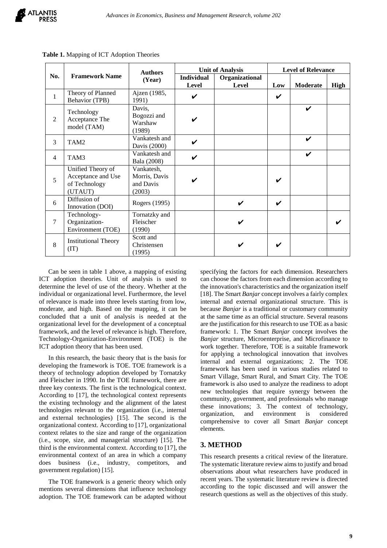

| No.            | <b>Framework Name</b>                                               | <b>Authors</b><br>(Year)                           |                            | <b>Unit of Analysis</b> | <b>Level of Relevance</b> |                    |      |
|----------------|---------------------------------------------------------------------|----------------------------------------------------|----------------------------|-------------------------|---------------------------|--------------------|------|
|                |                                                                     |                                                    | <b>Individual</b><br>Level | Organizational<br>Level | Low                       | Moderate           | High |
| $\mathbf{1}$   | Theory of Planned<br><b>Behavior</b> (TPB)                          | Ajzen (1985,<br>1991)                              | $\checkmark$               |                         | $\checkmark$              |                    |      |
| $\overline{2}$ | Technology<br>Acceptance The<br>model (TAM)                         | Davis,<br>Bogozzi and<br>Warshaw<br>(1989)         | V                          |                         |                           | V                  |      |
| 3              | TAM2                                                                | Vankatesh and<br>Davis (2000)                      | $\checkmark$               |                         |                           | $\boldsymbol{\nu}$ |      |
| $\overline{4}$ | TAM3                                                                | Vankatesh and<br>Bala (2008)                       | $\checkmark$               |                         |                           | $\checkmark$       |      |
| 5              | Unified Theory of<br>Acceptance and Use<br>of Technology<br>(UTAUT) | Vankatesh,<br>Morris, Davis<br>and Davis<br>(2003) | V                          |                         | ✓                         |                    |      |
| 6              | Diffusion of<br>Innovation (DOI)                                    | Rogers (1995)                                      |                            | V                       | V                         |                    |      |
| $\tau$         | Technology-<br>Organization-<br>Environment (TOE)                   | Tornatzky and<br>Fleischer<br>(1990)               |                            | V                       |                           |                    |      |
| 8              | <b>Institutional Theory</b><br>(TT)                                 | Scott and<br>Christensen<br>(1995)                 |                            | V                       | ✓                         |                    |      |

Table 1. Mapping of ICT Adoption Theories

Can be seen in table 1 above, a mapping of existing ICT adoption theories. Unit of analysis is used to determine the level of use of the theory. Whether at the individual or organizational level. Furthermore, the level of relevance is made into three levels starting from low, moderate, and high. Based on the mapping, it can be concluded that a unit of analysis is needed at the organizational level for the development of a conceptual framework, and the level of relevance is high. Therefore, Technology-Organization-Environment (TOE) is the ICT adoption theory that has been used.

In this research, the basic theory that is the basis for developing the framework is TOE. TOE framework is a theory of technology adoption developed by Tornatzky and Fleischer in 1990. In the TOE framework, there are three key contexts. The first is the technological context. According to [17], the technological context represents the existing technology and the alignment of the latest technologies relevant to the organization (i.e., internal and external technologies) [15]. The second is the organizational context. According to [17], organizational context relates to the size and range of the organization (i.e., scope, size, and managerial structure) [15]. The third is the environmental context. According to [17], the environmental context of an area in which a company does business (i.e., industry, competitors, and government regulation) [15].

The TOE framework is a generic theory which only mentions several dimensions that influence technology adoption. The TOE framework can be adapted without specifying the factors for each dimension. Researchers can choose the factors from each dimension according to the innovation's characteristics and the organization itself [18]. The Smart *Banjar* concept involves a fairly complex internal and external organizational structure. This is because *Banjar* is a traditional or customary community at the same time as an official structure. Several reasons are the justification for this research to use TOE as a basic framework: 1. The Smart *Banjar* concept involves the *Banjar* structure, Microenterprise, and Microfinance to work together. Therefore, TOE is a suitable framework for applying a technological innovation that involves internal and external organizations; 2. The TOE framework has been used in various studies related to Smart Village, Smart Rural, and Smart City. The TOE framework is also used to analyze the readiness to adopt new technologies that require synergy between the community, government, and professionals who manage these innovations; 3. The context of technology, organization, and environment is considered comprehensive to cover all Smart *Banjar* concept elements.

# **3. METHOD**

This research presents a critical review of the literature. The systematic literature review aims to justify and broad observations about what researchers have produced in recent years. The systematic literature review is directed according to the topic discussed and will answer the research questions as well as the objectives of this study.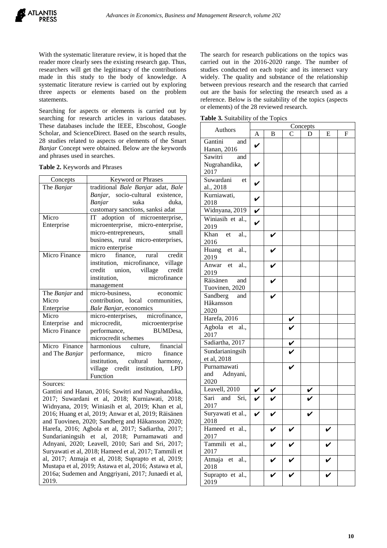With the systematic literature review, it is hoped that the reader more clearly sees the existing research gap. Thus, researchers will get the legitimacy of the contributions made in this study to the body of knowledge. A systematic literature review is carried out by exploring three aspects or elements based on the problem statements.

Searching for aspects or elements is carried out by searching for research articles in various databases. These databases include the IEEE, Ebscohost, Google Scholar, and ScienceDirect. Based on the search results, 28 studies related to aspects or elements of the Smart *Banjar* Concept were obtained. Below are the keywords and phrases used in searches.

| Concepts       | <b>Keyword or Phrases</b>              |  |  |  |  |
|----------------|----------------------------------------|--|--|--|--|
| The Banjar     | traditional Bale Banjar adat, Bale     |  |  |  |  |
|                | Banjar, socio-cultural existence,      |  |  |  |  |
|                | suka<br>duka.<br>Banjar                |  |  |  |  |
|                | customary sanctions, sanksi adat       |  |  |  |  |
| Micro          | IT adoption of microenterprise,        |  |  |  |  |
| Enterprise     | microenterprise, micro-enterprise,     |  |  |  |  |
|                | micro-entrepreneurs, small             |  |  |  |  |
|                | business, rural micro-enterprises,     |  |  |  |  |
|                | micro enterprise                       |  |  |  |  |
| Micro Finance  | micro finance, rural credit            |  |  |  |  |
|                | institution, microfinance, village     |  |  |  |  |
|                | credit union, village credit           |  |  |  |  |
|                | institution, microfinance              |  |  |  |  |
|                | management                             |  |  |  |  |
| The Banjar and | management<br>micro-business, economic |  |  |  |  |
| Micro          | contribution, local communities,       |  |  |  |  |
| Enterprise     | Bale Banjar, economics                 |  |  |  |  |
| Micro          | micro-enterprises, microfinance,       |  |  |  |  |
| Enterprise and | microcredit, microenterprise           |  |  |  |  |
| Micro Finance  | performance, BUMDesa,                  |  |  |  |  |
|                | microcredit schemes                    |  |  |  |  |
| Micro Finance  | harmonious culture, financial          |  |  |  |  |
| and The Banjar | performance, micro finance             |  |  |  |  |
|                | institution, cultural harmony,         |  |  |  |  |
|                | village credit institution, LPD        |  |  |  |  |
|                | Function                               |  |  |  |  |
|                |                                        |  |  |  |  |

**Table 2.** Keywords and Phrases

Sources:

Gantini and Hanan, 2016; Sawitri and Nugrahandika, 2017; Suwardani et al, 2018; Kurniawati, 2018; Widnyana, 2019; Winiasih et al, 2019; Khan et al, 2016; Huang et al, 2019; Anwar et al, 2019; Räisänen and Tuovinen, 2020; Sandberg and Håkansson 2020; Harefa, 2016; Agbola et al, 2017; Sadiartha, 2017; Sundarianingsih et al, 2018; Purnamawati and Adnyani, 2020; Leavell, 2010; Sari and Sri, 2017; Suryawati et al, 2018; Hameed et al, 2017; Tammili et al, 2017; Atmaja et al, 2018; Suprapto et al, 2019; Mustapa et al, 2019; Astawa et al, 2016; Astawa et al, 2016a; Sudemen and Anggriyani, 2017; Junaedi et al, 2019.

The search for research publications on the topics was carried out in the 2016-2020 range. The number of studies conducted on each topic and its intersect vary widely. The quality and substance of the relationship between previous research and the research that carried out are the basis for selecting the research used as a reference. Below is the suitability of the topics (aspects or elements) of the 28 reviewed research.

**Table 3.** Suitability of the Topics

|                                         | Concepts                |   |                                     |   |   |   |  |
|-----------------------------------------|-------------------------|---|-------------------------------------|---|---|---|--|
| Authors                                 | A                       | B | С                                   | D | E | F |  |
| Gantini<br>and<br>Hanan, 2016           | V                       |   |                                     |   |   |   |  |
| Sawitri<br>and<br>Nugrahandika,<br>2017 |                         |   |                                     |   |   |   |  |
| Suwardani<br>et<br>al., 2018            | V                       |   |                                     |   |   |   |  |
| Kurniawati,<br>2018                     | $\checkmark$            |   |                                     |   |   |   |  |
| Widnyana, 2019                          | $\overline{\mathbf{v}}$ |   |                                     |   |   |   |  |
| Winiasih et al.,<br>2019                | $\mathbf v$             |   |                                     |   |   |   |  |
| Khan et<br>al.,<br>2016                 |                         |   |                                     |   |   |   |  |
| Huang et<br>al.,<br>2019                |                         |   |                                     |   |   |   |  |
| Anwar et<br>al.,<br>2019                |                         |   |                                     |   |   |   |  |
| Räisänen<br>and<br>Tuovinen, 2020       |                         |   |                                     |   |   |   |  |
| Sandberg<br>and<br>Håkansson<br>2020    |                         |   |                                     |   |   |   |  |
| Harefa, 2016                            |                         |   |                                     |   |   |   |  |
| Agbola et al.,<br>2017                  |                         |   | $\overline{\mathbf{v}}$             |   |   |   |  |
| Sadiartha, 2017                         |                         |   |                                     |   |   |   |  |
| Sundarianingsih<br>et al, 2018          |                         |   | $\frac{\overline{v}}{\overline{v}}$ |   |   |   |  |
| Purnamawati<br>and Adnyani,<br>2020     |                         |   |                                     |   |   |   |  |
| Leavell, $2010$                         | V                       |   |                                     |   |   |   |  |
| Sari and Sri,<br>2017                   | V                       |   |                                     |   |   |   |  |
| Suryawati et al.,<br>2018               |                         |   |                                     |   |   |   |  |
| Hameed et al.,<br>2017                  |                         |   |                                     |   |   |   |  |
| Tammili et al.,<br>2017                 |                         | V |                                     |   | V |   |  |
| Atmaja<br>et<br>al.,<br>2018            |                         |   |                                     |   |   |   |  |
| Suprapto et al.,<br>2019                |                         |   |                                     |   |   |   |  |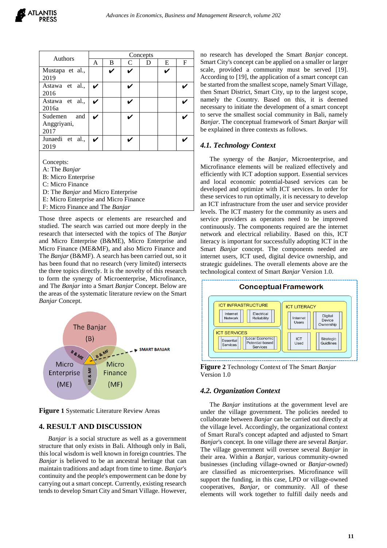| Authors                               | Concepts |   |   |   |   |   |  |
|---------------------------------------|----------|---|---|---|---|---|--|
|                                       | A        | B | C | D | Е | F |  |
| Mustapa et al.,                       |          | ✔ | V |   | ✔ |   |  |
| 2019                                  |          |   |   |   |   |   |  |
| Astawa et al.,<br>2016                |          |   |   |   |   |   |  |
| Astawa et al.,<br>2016a               |          |   |   |   |   |   |  |
| Sudemen<br>and<br>Anggriyani,<br>2017 |          |   |   |   |   |   |  |
| Junaedi et al.,<br>2019               | ✓        |   |   |   |   |   |  |
|                                       |          |   |   |   |   |   |  |

Concepts:

- A: The *Banjar*
- B: Micro Enterprise
- C: Micro Finance
- D: The *Banjar* and Micro Enterprise
- E: Micro Enterprise and Micro Finance
- F: Micro Finance and The *Banjar*

Those three aspects or elements are researched and studied. The search was carried out more deeply in the research that intersected with the topics of The *Banjar* and Micro Enterprise (B&ME), Micro Enterprise and Micro Finance (ME&MF), and also Micro Finance and The *Banjar* (B&MF). A search has been carried out, so it has been found that no research (very limited) intersects the three topics directly. It is the novelty of this research to form the synergy of Microenterprise, Microfinance, and The *Banjar* into a Smart *Banjar* Concept. Below are the areas of the systematic literature review on the Smart *Banjar* Concept.



**Figure 1** Systematic Literature Review Areas

# **4. RESULT AND DISCUSSION**

*Banjar* is a social structure as well as a government structure that only exists in Bali. Although only in Bali, this local wisdom is well known in foreign countries. The *Banjar* is believed to be an ancestral heritage that can maintain traditions and adapt from time to time. *Banjar*'s continuity and the people's empowerment can be done by carrying out a smart concept. Currently, existing research tends to develop Smart City and Smart Village. However, no research has developed the Smart *Banjar* concept. Smart City's concept can be applied on a smaller or larger scale, provided a community must be served [19]. According to [19], the application of a smart concept can be started from the smallest scope, namely Smart Village, then Smart District, Smart City, up to the largest scope, namely the Country. Based on this, it is deemed necessary to initiate the development of a smart concept to serve the smallest social community in Bali, namely *Banjar*. The conceptual framework of Smart *Banjar* will be explained in three contexts as follows.

## *4.1. Technology Context*

The synergy of the *Banjar*, Microenterprise, and Microfinance elements will be realized effectively and efficiently with ICT adoption support. Essential services and local economic potential-based services can be developed and optimize with ICT services. In order for these services to run optimally, it is necessary to develop an ICT infrastructure from the user and service provider levels. The ICT mastery for the community as users and service providers as operators need to be improved continuously. The components required are the internet network and electrical reliability. Based on this, ICT literacy is important for successfully adopting ICT in the Smart *Banjar* concept. The components needed are internet users, ICT used, digital device ownership, and strategic guidelines. The overall elements above are the technological context of Smart *Banjar* Version 1.0.



**Figure 2** Technology Context of The Smart *Banjar* Version 1.0

#### *4.2. Organization Context*

The *Banjar* institutions at the government level are under the village government. The policies needed to collaborate between *Banjar* can be carried out directly at the village level. Accordingly, the organizational context of Smart Rural's concept adapted and adjusted to Smart *Banjar*'s concept. In one village there are several *Banjar*. The village government will oversee several *Banjar* in their area. Within a *Banjar*, various community-owned businesses (including village-owned or *Banjar*-owned) are classified as microenterprises. Microfinance will support the funding, in this case, LPD or village-owned cooperatives, *Banjar*, or community. All of these elements will work together to fulfill daily needs and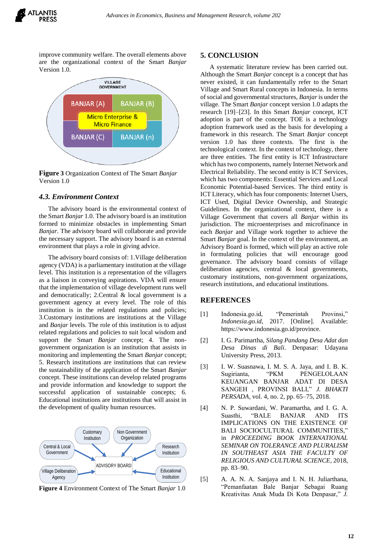

improve community welfare. The overall elements above are the organizational context of the Smart *Banjar* Version 1.0.



**Figure 3** Organization Context of The Smart *Banjar*  Version 1.0

#### *4.3. Environment Context*

The advisory board is the environmental context of the Smart *Banjar* 1.0. The advisory board is an institution formed to minimize obstacles in implementing Smart *Banjar*. The advisory board will collaborate and provide the necessary support. The advisory board is an external environment that plays a role in giving advice.

The advisory board consists of: 1.Village deliberation agency (VDA) is a parliamentary institution at the village level. This institution is a representation of the villagers as a liaison in conveying aspirations. VDA will ensure that the implementation of village development runs well and democratically; 2.Central & local government is a government agency at every level. The role of this institution is in the related regulations and policies; 3.Customary institutions are institutions at the Village and *Banjar* levels. The role of this institution is to adjust related regulations and policies to suit local wisdom and support the Smart *Banjar* concept; 4. The nongovernment organization is an institution that assists in monitoring and implementing the Smart *Banjar* concept; 5. Research institutions are institutions that can review the sustainability of the application of the Smart *Banjar* concept. These institutions can develop related programs and provide information and knowledge to support the successful application of sustainable concepts; 6. Educational institutions are institutions that will assist in the development of quality human resources.



**Figure 4** Environment Context of The Smart *Banjar* 1.0

#### **5. CONCLUSION**

A systematic literature review has been carried out. Although the Smart *Banjar* concept is a concept that has never existed, it can fundamentally refer to the Smart Village and Smart Rural concepts in Indonesia. In terms of social and governmental structures, *Banjar*is under the village. The Smart *Banjar* concept version 1.0 adapts the research [19]–[23]. In this Smart *Banjar* concept, ICT adoption is part of the concept. TOE is a technology adoption framework used as the basis for developing a framework in this research. The Smart *Banjar* concept version 1.0 has three contexts. The first is the technological context. In the context of technology, there are three entities. The first entity is ICT Infrastructure which has two components, namely Internet Network and Electrical Reliability. The second entity is ICT Services, which has two components: Essential Services and Local Economic Potential-based Services. The third entity is ICT Literacy, which has four components: Internet Users, ICT Used, Digital Device Ownership, and Strategic Guidelines. In the organizational context, there is a Village Government that covers all *Banjar* within its jurisdiction. The microenterprises and microfinance in each *Banjar* and Village work together to achieve the Smart *Banjar* goal. In the context of the environment, an Advisory Board is formed, which will play an active role in formulating policies that will encourage good governance. The advisory board consists of village deliberation agencies, central & local governments, customary institutions, non-government organizations, research institutions, and educational institutions.

#### **REFERENCES**

- [1] Indonesia.go.id, "Pemerintah Provinsi," *Indonesia.go.id*, 2017. [Online]. Available: https://www.indonesia.go.id/province.
- [2] I. G. Parimartha, *Silang Pandang Desa Adat dan Desa Dinas di Bali*. Denpasar: Udayana University Press, 2013.
- [3] I. W. Suasnawa, I. M. S. A. Jaya, and I. B. K. Sugirianta, "PKM PENGELOLAAN KEUANGAN BANJAR ADAT DI DESA SANGEH , PROVINSI BALI," *J. BHAKTI PERSADA*, vol. 4, no. 2, pp. 65–75, 2018.
- [4] N. P. Suwardani, W. Paramartha, and I. G. A. Suasthi, "BALE BANJAR AND ITS IMPLICATIONS ON THE EXISTENCE OF BALI SOCIOCULTURAL COMMUNITIES," in *PROCEEDING BOOK INTERNATIONAL SEMINAR ON TOLERANCE AND PLURALISM IN SOUTHEAST ASIA THE FACULTY OF RELIGIOUS AND CULTURAL SCIENCE*, 2018, pp. 83–90.
- [5] A. A. N. A. Sanjaya and I. N. H. Juliarthana, "Pemanfaatan Bale Banjar Sebagai Ruang Kreativitas Anak Muda Di Kota Denpasar," *J.*